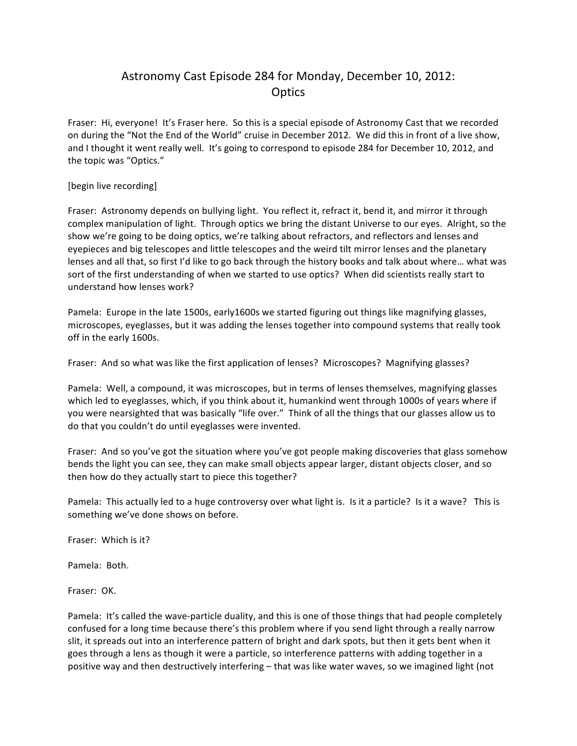## Astronomy Cast Episode 284 for Monday, December 10, 2012: **Optics**

Fraser: Hi, everyone! It's Fraser here. So this is a special episode of Astronomy Cast that we recorded on during the "Not the End of the World" cruise in December 2012. We did this in front of a live show, and I thought it went really well. It's going to correspond to episode 284 for December 10, 2012, and the topic was "Optics."

[begin live recording]

Fraser: Astronomy depends on bullying light. You reflect it, refract it, bend it, and mirror it through complex manipulation of light. Through optics we bring the distant Universe to our eyes. Alright, so the show we're going to be doing optics, we're talking about refractors, and reflectors and lenses and eyepieces and big telescopes and little telescopes and the weird tilt mirror lenses and the planetary lenses and all that, so first I'd like to go back through the history books and talk about where... what was sort of the first understanding of when we started to use optics? When did scientists really start to understand how lenses work?

Pamela: Europe in the late 1500s, early1600s we started figuring out things like magnifying glasses, microscopes, eyeglasses, but it was adding the lenses together into compound systems that really took off in the early 1600s.

Fraser: And so what was like the first application of lenses? Microscopes? Magnifying glasses?

Pamela: Well, a compound, it was microscopes, but in terms of lenses themselves, magnifying glasses which led to eyeglasses, which, if you think about it, humankind went through 1000s of years where if you were nearsighted that was basically "life over." Think of all the things that our glasses allow us to do that you couldn't do until eyeglasses were invented.

Fraser: And so you've got the situation where you've got people making discoveries that glass somehow bends the light you can see, they can make small objects appear larger, distant objects closer, and so then how do they actually start to piece this together?

Pamela: This actually led to a huge controversy over what light is. Is it a particle? Is it a wave? This is something we've done shows on before.

Fraser: Which is it?

Pamela: Both.

Fraser: OK.

Pamela: It's called the wave-particle duality, and this is one of those things that had people completely confused for a long time because there's this problem where if you send light through a really narrow slit, it spreads out into an interference pattern of bright and dark spots, but then it gets bent when it goes through a lens as though it were a particle, so interference patterns with adding together in a positive way and then destructively interfering – that was like water waves, so we imagined light (not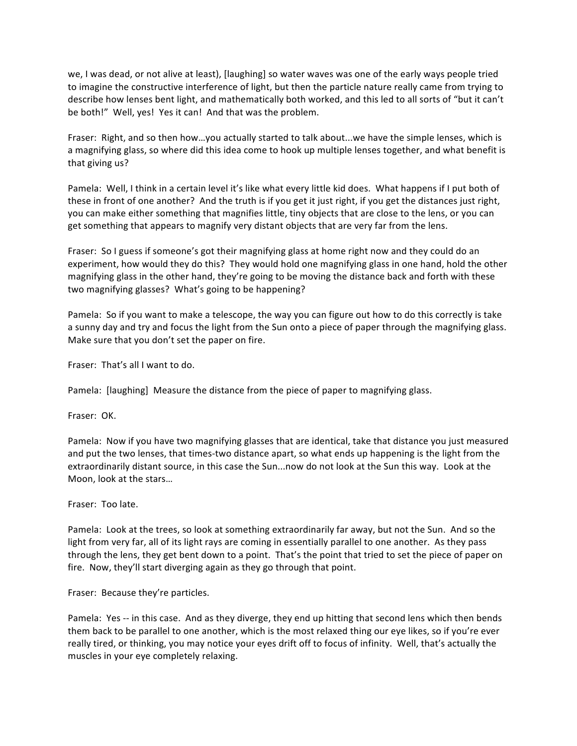we, I was dead, or not alive at least), [laughing] so water waves was one of the early ways people tried to imagine the constructive interference of light, but then the particle nature really came from trying to describe how lenses bent light, and mathematically both worked, and this led to all sorts of "but it can't be both!" Well, yes! Yes it can! And that was the problem.

Fraser: Right, and so then how...you actually started to talk about...we have the simple lenses, which is a magnifying glass, so where did this idea come to hook up multiple lenses together, and what benefit is that giving us?

Pamela: Well, I think in a certain level it's like what every little kid does. What happens if I put both of these in front of one another? And the truth is if you get it just right, if you get the distances just right, you can make either something that magnifies little, tiny objects that are close to the lens, or you can get something that appears to magnify very distant objects that are very far from the lens.

Fraser: So I guess if someone's got their magnifying glass at home right now and they could do an experiment, how would they do this? They would hold one magnifying glass in one hand, hold the other magnifying glass in the other hand, they're going to be moving the distance back and forth with these two magnifying glasses? What's going to be happening?

Pamela: So if you want to make a telescope, the way you can figure out how to do this correctly is take a sunny day and try and focus the light from the Sun onto a piece of paper through the magnifying glass. Make sure that you don't set the paper on fire.

Fraser: That's all I want to do.

Pamela: [laughing] Measure the distance from the piece of paper to magnifying glass.

Fraser: OK.

Pamela: Now if you have two magnifying glasses that are identical, take that distance you just measured and put the two lenses, that times-two distance apart, so what ends up happening is the light from the extraordinarily distant source, in this case the Sun...now do not look at the Sun this way. Look at the Moon, look at the stars...

Fraser: Too late.

Pamela: Look at the trees, so look at something extraordinarily far away, but not the Sun. And so the light from very far, all of its light rays are coming in essentially parallel to one another. As they pass through the lens, they get bent down to a point. That's the point that tried to set the piece of paper on fire. Now, they'll start diverging again as they go through that point.

Fraser: Because they're particles.

Pamela: Yes -- in this case. And as they diverge, they end up hitting that second lens which then bends them back to be parallel to one another, which is the most relaxed thing our eye likes, so if you're ever really tired, or thinking, you may notice your eyes drift off to focus of infinity. Well, that's actually the muscles in your eye completely relaxing.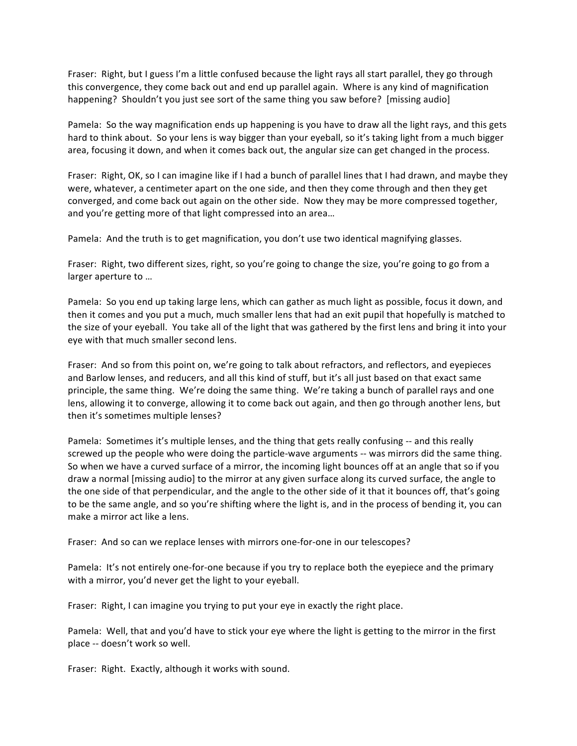Fraser: Right, but I guess I'm a little confused because the light rays all start parallel, they go through this convergence, they come back out and end up parallel again. Where is any kind of magnification happening? Shouldn't you just see sort of the same thing you saw before? [missing audio]

Pamela: So the way magnification ends up happening is you have to draw all the light rays, and this gets hard to think about. So your lens is way bigger than your eyeball, so it's taking light from a much bigger area, focusing it down, and when it comes back out, the angular size can get changed in the process.

Fraser: Right, OK, so I can imagine like if I had a bunch of parallel lines that I had drawn, and maybe they were, whatever, a centimeter apart on the one side, and then they come through and then they get converged, and come back out again on the other side. Now they may be more compressed together, and you're getting more of that light compressed into an area...

Pamela: And the truth is to get magnification, you don't use two identical magnifying glasses.

Fraser: Right, two different sizes, right, so you're going to change the size, you're going to go from a larger aperture to ...

Pamela: So you end up taking large lens, which can gather as much light as possible, focus it down, and then it comes and you put a much, much smaller lens that had an exit pupil that hopefully is matched to the size of your eyeball. You take all of the light that was gathered by the first lens and bring it into your eye with that much smaller second lens.

Fraser: And so from this point on, we're going to talk about refractors, and reflectors, and eyepieces and Barlow lenses, and reducers, and all this kind of stuff, but it's all just based on that exact same principle, the same thing. We're doing the same thing. We're taking a bunch of parallel rays and one lens, allowing it to converge, allowing it to come back out again, and then go through another lens, but then it's sometimes multiple lenses?

Pamela: Sometimes it's multiple lenses, and the thing that gets really confusing -- and this really screwed up the people who were doing the particle-wave arguments -- was mirrors did the same thing. So when we have a curved surface of a mirror, the incoming light bounces off at an angle that so if you draw a normal [missing audio] to the mirror at any given surface along its curved surface, the angle to the one side of that perpendicular, and the angle to the other side of it that it bounces off, that's going to be the same angle, and so you're shifting where the light is, and in the process of bending it, you can make a mirror act like a lens.

Fraser: And so can we replace lenses with mirrors one-for-one in our telescopes?

Pamela: It's not entirely one-for-one because if you try to replace both the eyepiece and the primary with a mirror, you'd never get the light to your eyeball.

Fraser: Right, I can imagine you trying to put your eye in exactly the right place.

Pamela: Well, that and you'd have to stick your eye where the light is getting to the mirror in the first place -- doesn't work so well.

Fraser: Right. Exactly, although it works with sound.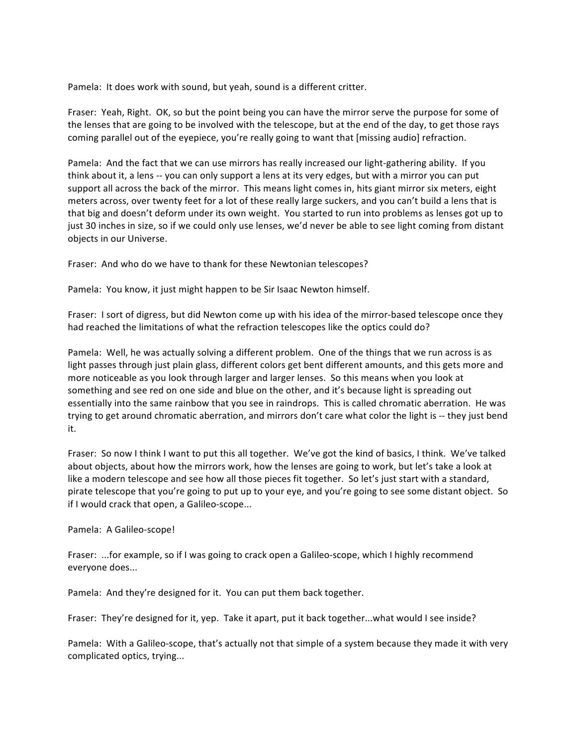Pamela: It does work with sound, but yeah, sound is a different critter.

Fraser: Yeah, Right. OK, so but the point being you can have the mirror serve the purpose for some of the lenses that are going to be involved with the telescope, but at the end of the day, to get those rays coming parallel out of the eyepiece, you're really going to want that [missing audio] refraction.

Pamela: And the fact that we can use mirrors has really increased our light-gathering ability. If you think about it, a lens -- you can only support a lens at its very edges, but with a mirror you can put support all across the back of the mirror. This means light comes in, hits giant mirror six meters, eight meters across, over twenty feet for a lot of these really large suckers, and you can't build a lens that is that big and doesn't deform under its own weight. You started to run into problems as lenses got up to just 30 inches in size, so if we could only use lenses, we'd never be able to see light coming from distant objects in our Universe.

Fraser: And who do we have to thank for these Newtonian telescopes?

Pamela: You know, it just might happen to be Sir Isaac Newton himself.

Fraser: I sort of digress, but did Newton come up with his idea of the mirror-based telescope once they had reached the limitations of what the refraction telescopes like the optics could do?

Pamela: Well, he was actually solving a different problem. One of the things that we run across is as light passes through just plain glass, different colors get bent different amounts, and this gets more and more noticeable as you look through larger and larger lenses. So this means when you look at something and see red on one side and blue on the other, and it's because light is spreading out essentially into the same rainbow that you see in raindrops. This is called chromatic aberration. He was trying to get around chromatic aberration, and mirrors don't care what color the light is -- they just bend it.

Fraser: So now I think I want to put this all together. We've got the kind of basics, I think. We've talked about objects, about how the mirrors work, how the lenses are going to work, but let's take a look at like a modern telescope and see how all those pieces fit together. So let's just start with a standard, pirate telescope that you're going to put up to your eye, and you're going to see some distant object. So if I would crack that open, a Galileo-scope...

## Pamela: A Galileo-scope!

Fraser: ...for example, so if I was going to crack open a Galileo-scope, which I highly recommend everyone does...

Pamela: And they're designed for it. You can put them back together.

Fraser: They're designed for it, yep. Take it apart, put it back together...what would I see inside?

Pamela: With a Galileo-scope, that's actually not that simple of a system because they made it with very complicated optics, trying...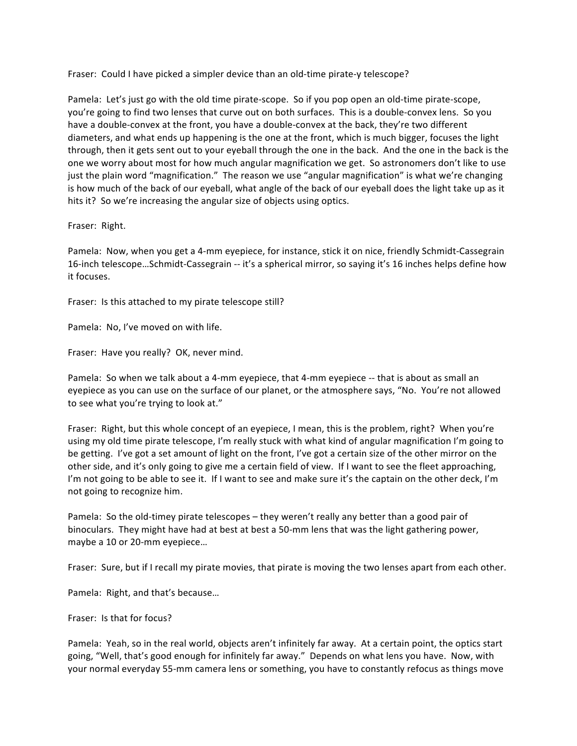Fraser: Could I have picked a simpler device than an old-time pirate-y telescope?

Pamela: Let's just go with the old time pirate-scope. So if you pop open an old-time pirate-scope, you're going to find two lenses that curve out on both surfaces. This is a double-convex lens. So you have a double-convex at the front, you have a double-convex at the back, they're two different diameters, and what ends up happening is the one at the front, which is much bigger, focuses the light through, then it gets sent out to your eyeball through the one in the back. And the one in the back is the one we worry about most for how much angular magnification we get. So astronomers don't like to use just the plain word "magnification." The reason we use "angular magnification" is what we're changing is how much of the back of our eyeball, what angle of the back of our eyeball does the light take up as it hits it? So we're increasing the angular size of objects using optics.

## Fraser: Right.

Pamela: Now, when you get a 4-mm eyepiece, for instance, stick it on nice, friendly Schmidt-Cassegrain 16-inch telescope...Schmidt-Cassegrain -- it's a spherical mirror, so saying it's 16 inches helps define how it focuses.

Fraser: Is this attached to my pirate telescope still?

Pamela: No, I've moved on with life.

Fraser: Have you really? OK, never mind.

Pamela: So when we talk about a 4-mm eyepiece, that 4-mm eyepiece -- that is about as small an eyepiece as you can use on the surface of our planet, or the atmosphere says, "No. You're not allowed to see what you're trying to look at."

Fraser: Right, but this whole concept of an eyepiece, I mean, this is the problem, right? When you're using my old time pirate telescope, I'm really stuck with what kind of angular magnification I'm going to be getting. I've got a set amount of light on the front, I've got a certain size of the other mirror on the other side, and it's only going to give me a certain field of view. If I want to see the fleet approaching, I'm not going to be able to see it. If I want to see and make sure it's the captain on the other deck, I'm not going to recognize him.

Pamela: So the old-timey pirate telescopes – they weren't really any better than a good pair of binoculars. They might have had at best at best a 50-mm lens that was the light gathering power, maybe a 10 or 20-mm eyepiece...

Fraser: Sure, but if I recall my pirate movies, that pirate is moving the two lenses apart from each other.

Pamela: Right, and that's because...

Fraser: Is that for focus?

Pamela: Yeah, so in the real world, objects aren't infinitely far away. At a certain point, the optics start going, "Well, that's good enough for infinitely far away." Depends on what lens you have. Now, with your normal everyday 55-mm camera lens or something, you have to constantly refocus as things move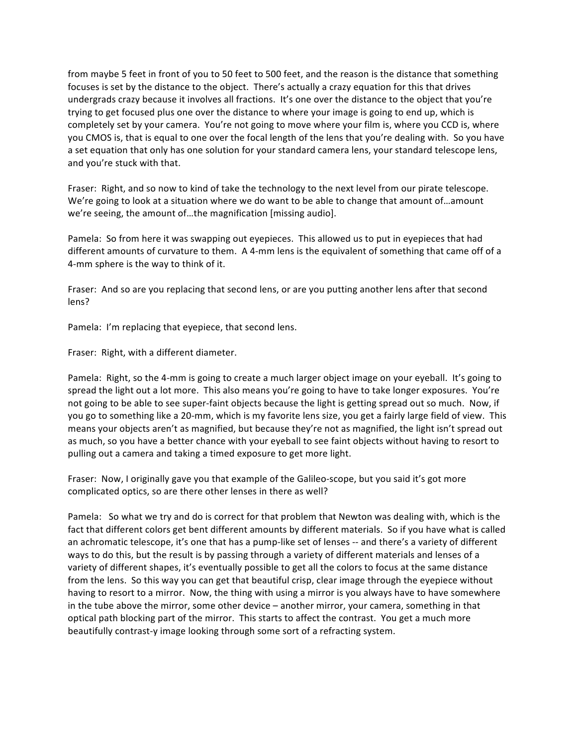from maybe 5 feet in front of you to 50 feet to 500 feet, and the reason is the distance that something focuses is set by the distance to the object. There's actually a crazy equation for this that drives undergrads crazy because it involves all fractions. It's one over the distance to the object that you're trying to get focused plus one over the distance to where your image is going to end up, which is completely set by your camera. You're not going to move where your film is, where you CCD is, where you CMOS is, that is equal to one over the focal length of the lens that you're dealing with. So you have a set equation that only has one solution for your standard camera lens, your standard telescope lens, and you're stuck with that.

Fraser: Right, and so now to kind of take the technology to the next level from our pirate telescope. We're going to look at a situation where we do want to be able to change that amount of...amount we're seeing, the amount of...the magnification [missing audio].

Pamela: So from here it was swapping out eyepieces. This allowed us to put in eyepieces that had different amounts of curvature to them. A 4-mm lens is the equivalent of something that came off of a 4-mm sphere is the way to think of it.

Fraser: And so are you replacing that second lens, or are you putting another lens after that second lens?

Pamela: I'm replacing that eyepiece, that second lens.

Fraser: Right, with a different diameter.

Pamela: Right, so the 4-mm is going to create a much larger object image on your eyeball. It's going to spread the light out a lot more. This also means you're going to have to take longer exposures. You're not going to be able to see super-faint objects because the light is getting spread out so much. Now, if you go to something like a 20-mm, which is my favorite lens size, you get a fairly large field of view. This means your objects aren't as magnified, but because they're not as magnified, the light isn't spread out as much, so you have a better chance with your eyeball to see faint objects without having to resort to pulling out a camera and taking a timed exposure to get more light.

Fraser: Now, I originally gave you that example of the Galileo-scope, but you said it's got more complicated optics, so are there other lenses in there as well?

Pamela: So what we try and do is correct for that problem that Newton was dealing with, which is the fact that different colors get bent different amounts by different materials. So if you have what is called an achromatic telescope, it's one that has a pump-like set of lenses -- and there's a variety of different ways to do this, but the result is by passing through a variety of different materials and lenses of a variety of different shapes, it's eventually possible to get all the colors to focus at the same distance from the lens. So this way you can get that beautiful crisp, clear image through the eyepiece without having to resort to a mirror. Now, the thing with using a mirror is you always have to have somewhere in the tube above the mirror, some other device – another mirror, your camera, something in that optical path blocking part of the mirror. This starts to affect the contrast. You get a much more beautifully contrast-y image looking through some sort of a refracting system.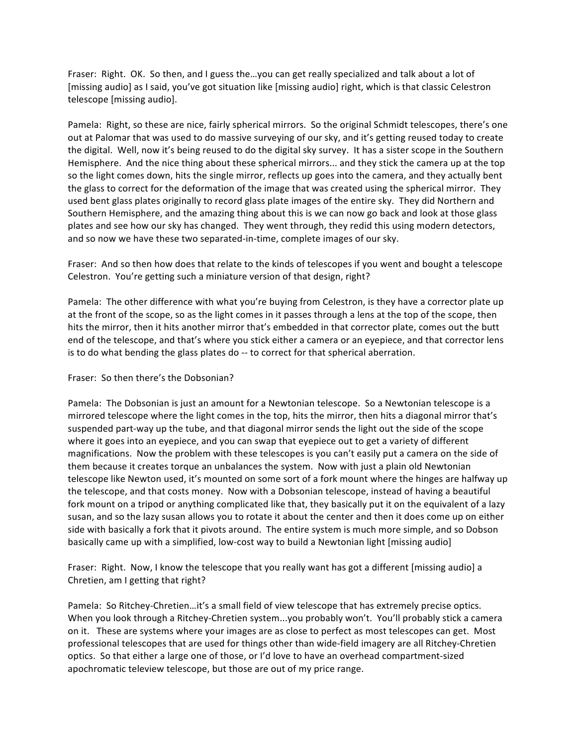Fraser: Right. OK. So then, and I guess the...you can get really specialized and talk about a lot of [missing audio] as I said, you've got situation like [missing audio] right, which is that classic Celestron telescope [missing audio].

Pamela: Right, so these are nice, fairly spherical mirrors. So the original Schmidt telescopes, there's one out at Palomar that was used to do massive surveying of our sky, and it's getting reused today to create the digital. Well, now it's being reused to do the digital sky survey. It has a sister scope in the Southern Hemisphere. And the nice thing about these spherical mirrors... and they stick the camera up at the top so the light comes down, hits the single mirror, reflects up goes into the camera, and they actually bent the glass to correct for the deformation of the image that was created using the spherical mirror. They used bent glass plates originally to record glass plate images of the entire sky. They did Northern and Southern Hemisphere, and the amazing thing about this is we can now go back and look at those glass plates and see how our sky has changed. They went through, they redid this using modern detectors, and so now we have these two separated-in-time, complete images of our sky.

Fraser: And so then how does that relate to the kinds of telescopes if you went and bought a telescope Celestron. You're getting such a miniature version of that design, right?

Pamela: The other difference with what you're buying from Celestron, is they have a corrector plate up at the front of the scope, so as the light comes in it passes through a lens at the top of the scope, then hits the mirror, then it hits another mirror that's embedded in that corrector plate, comes out the butt end of the telescope, and that's where you stick either a camera or an eyepiece, and that corrector lens is to do what bending the glass plates do -- to correct for that spherical aberration.

## Fraser: So then there's the Dobsonian?

Pamela: The Dobsonian is just an amount for a Newtonian telescope. So a Newtonian telescope is a mirrored telescope where the light comes in the top, hits the mirror, then hits a diagonal mirror that's suspended part-way up the tube, and that diagonal mirror sends the light out the side of the scope where it goes into an eyepiece, and you can swap that eyepiece out to get a variety of different magnifications. Now the problem with these telescopes is you can't easily put a camera on the side of them because it creates torque an unbalances the system. Now with just a plain old Newtonian telescope like Newton used, it's mounted on some sort of a fork mount where the hinges are halfway up the telescope, and that costs money. Now with a Dobsonian telescope, instead of having a beautiful fork mount on a tripod or anything complicated like that, they basically put it on the equivalent of a lazy susan, and so the lazy susan allows you to rotate it about the center and then it does come up on either side with basically a fork that it pivots around. The entire system is much more simple, and so Dobson basically came up with a simplified, low-cost way to build a Newtonian light [missing audio]

Fraser: Right. Now, I know the telescope that you really want has got a different [missing audio] a Chretien, am I getting that right?

Pamela: So Ritchey-Chretien...it's a small field of view telescope that has extremely precise optics. When you look through a Ritchey-Chretien system...you probably won't. You'll probably stick a camera on it. These are systems where your images are as close to perfect as most telescopes can get. Most professional telescopes that are used for things other than wide-field imagery are all Ritchey-Chretien optics. So that either a large one of those, or I'd love to have an overhead compartment-sized apochromatic teleview telescope, but those are out of my price range.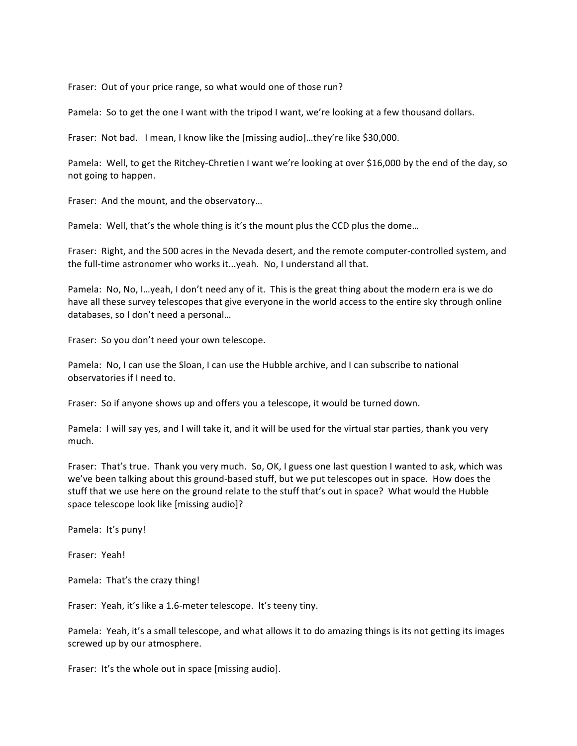Fraser: Out of your price range, so what would one of those run?

Pamela: So to get the one I want with the tripod I want, we're looking at a few thousand dollars.

Fraser: Not bad. I mean, I know like the [missing audio]...they're like \$30,000.

Pamela: Well, to get the Ritchey-Chretien I want we're looking at over \$16,000 by the end of the day, so not going to happen.

Fraser: And the mount, and the observatory...

Pamela: Well, that's the whole thing is it's the mount plus the CCD plus the dome...

Fraser: Right, and the 500 acres in the Nevada desert, and the remote computer-controlled system, and the full-time astronomer who works it...yeah. No, I understand all that.

Pamela: No, No, I...yeah, I don't need any of it. This is the great thing about the modern era is we do have all these survey telescopes that give everyone in the world access to the entire sky through online databases, so I don't need a personal...

Fraser: So you don't need your own telescope.

Pamela: No, I can use the Sloan, I can use the Hubble archive, and I can subscribe to national observatories if I need to.

Fraser: So if anyone shows up and offers you a telescope, it would be turned down.

Pamela: I will say yes, and I will take it, and it will be used for the virtual star parties, thank you very much.

Fraser: That's true. Thank you very much. So, OK, I guess one last question I wanted to ask, which was we've been talking about this ground-based stuff, but we put telescopes out in space. How does the stuff that we use here on the ground relate to the stuff that's out in space? What would the Hubble space telescope look like [missing audio]?

Pamela: It's puny!

Fraser: Yeah!

Pamela: That's the crazy thing!

Fraser: Yeah, it's like a 1.6-meter telescope. It's teeny tiny.

Pamela: Yeah, it's a small telescope, and what allows it to do amazing things is its not getting its images screwed up by our atmosphere.

Fraser: It's the whole out in space [missing audio].